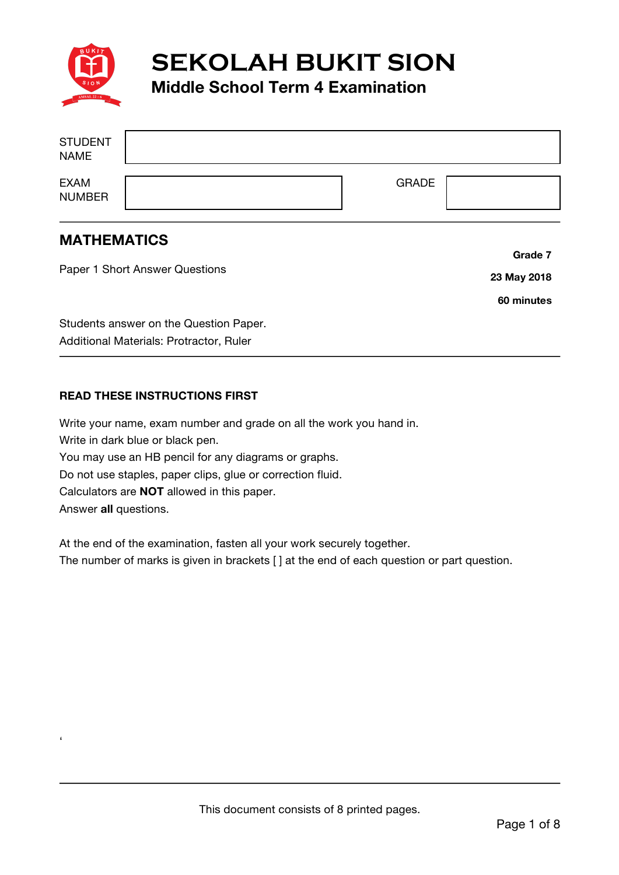

**SEKOLAH BUKIT SION**

### **Middle School Term 4 Examination**

| <b>STUDENT</b><br><b>NAME</b> |              |  |
|-------------------------------|--------------|--|
| <b>EXAM</b><br><b>NUMBER</b>  | <b>GRADE</b> |  |

#### **MATHEMATICS**

'

Paper 1 Short Answer Questions Students answer on the Question Paper. Additional Materials: Protractor, Ruler **Grade 7 23 May 2018 60 minutes**

#### **READ THESE INSTRUCTIONS FIRST**

Write your name, exam number and grade on all the work you hand in. Write in dark blue or black pen. You may use an HB pencil for any diagrams or graphs. Do not use staples, paper clips, glue or correction fluid. Calculators are **NOT** allowed in this paper. Answer **all** questions.

At the end of the examination, fasten all your work securely together. The number of marks is given in brackets [ ] at the end of each question or part question.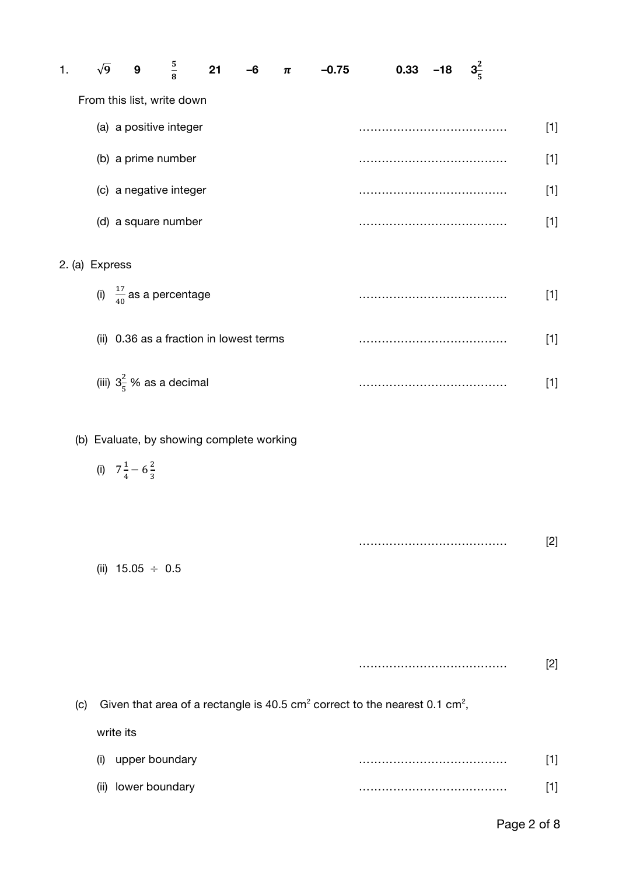| 1.             | $\sqrt{9}$ | $\boldsymbol{9}$                  | $\frac{5}{8}$                       | 21                                        | -6 | π | $-0.75$ | 0.33 | $-18$ | $3\frac{2}{5}$ |       |
|----------------|------------|-----------------------------------|-------------------------------------|-------------------------------------------|----|---|---------|------|-------|----------------|-------|
|                |            |                                   | From this list, write down          |                                           |    |   |         |      |       |                |       |
|                |            |                                   | (a) a positive integer              |                                           |    |   |         |      |       |                | $[1]$ |
|                |            | (b) a prime number                |                                     |                                           |    |   |         |      |       |                | $[1]$ |
|                |            |                                   | (c) a negative integer              |                                           |    |   |         |      |       |                | $[1]$ |
|                |            |                                   | (d) a square number                 |                                           |    |   |         |      |       |                | $[1]$ |
| 2. (a) Express |            |                                   |                                     |                                           |    |   |         |      |       |                |       |
|                |            |                                   | (i) $\frac{17}{40}$ as a percentage |                                           |    |   |         |      |       |                | $[1]$ |
|                |            |                                   |                                     | (ii) 0.36 as a fraction in lowest terms   |    |   |         |      |       |                | $[1]$ |
|                |            |                                   | (iii) $3\frac{2}{5}$ % as a decimal |                                           |    |   |         |      |       |                | $[1]$ |
|                |            |                                   |                                     | (b) Evaluate, by showing complete working |    |   |         |      |       |                |       |
|                |            | (i) $7\frac{1}{4} - 6\frac{2}{3}$ |                                     |                                           |    |   |         |      |       |                |       |
|                |            |                                   |                                     |                                           |    |   |         |      |       |                |       |
|                |            |                                   |                                     |                                           |    |   |         |      |       |                | $[2]$ |
|                |            | (ii) $15.05 \div 0.5$             |                                     |                                           |    |   |         |      |       |                |       |
|                |            |                                   |                                     |                                           |    |   |         |      |       |                |       |

(c) Given that area of a rectangle is 40.5 cm<sup>2</sup> correct to the nearest 0.1 cm<sup>2</sup>, write its (i) upper boundary ………………………………… [1] (ii) lower boundary ………………………………… [1]

#### Page 2 of 8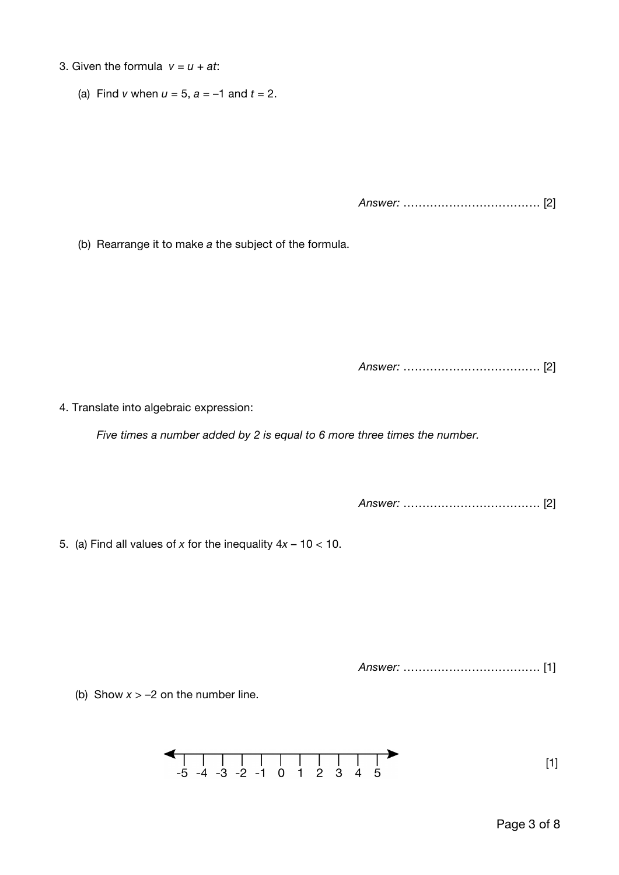- 3. Given the formula  $v = u + at$ :
	- (a) Find *v* when  $u = 5$ ,  $a = -1$  and  $t = 2$ .

*Answer:* ……………………………… [2]

(b) Rearrange it to make *a* the subject of the formula.

*Answer:* ……………………………… [2]

4. Translate into algebraic expression:

*Five times a number added by 2 is equal to 6 more three times the number.*

*Answer:* ……………………………… [2]

5. (a) Find all values of *x* for the inequality 4*x* – 10 < 10.

*Answer:* ……………………………… [1]

(b) Show  $x > -2$  on the number line.

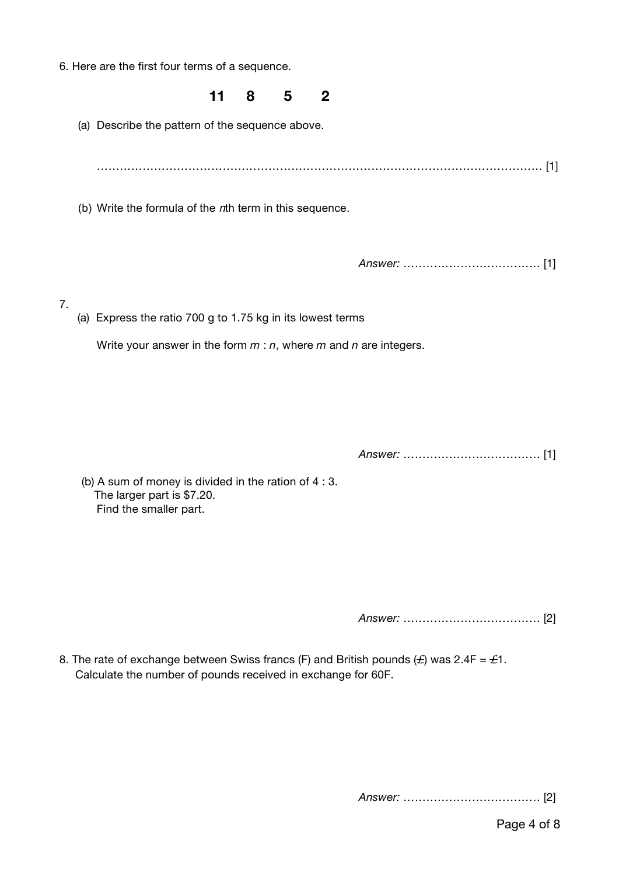6. Here are the first four terms of a sequence.

7.

# **11 8 5 2** (a) Describe the pattern of the sequence above. ……………………………………………………………………………………………………… [1] (b) Write the formula of the nth term in this sequence. *Answer:* ……………………………… [1] (a) Express the ratio 700 g to 1.75 kg in its lowest terms Write your answer in the form *m* : *n*, where *m* and *n* are integers. *Answer:* ……………………………… [1]

 (b) A sum of money is divided in the ration of 4 : 3. The larger part is \$7.20. Find the smaller part.

*Answer:* ……………………………… [2]

8. The rate of exchange between Swiss francs (F) and British pounds (*L*) was 2.4F = *L*1. Calculate the number of pounds received in exchange for 60F.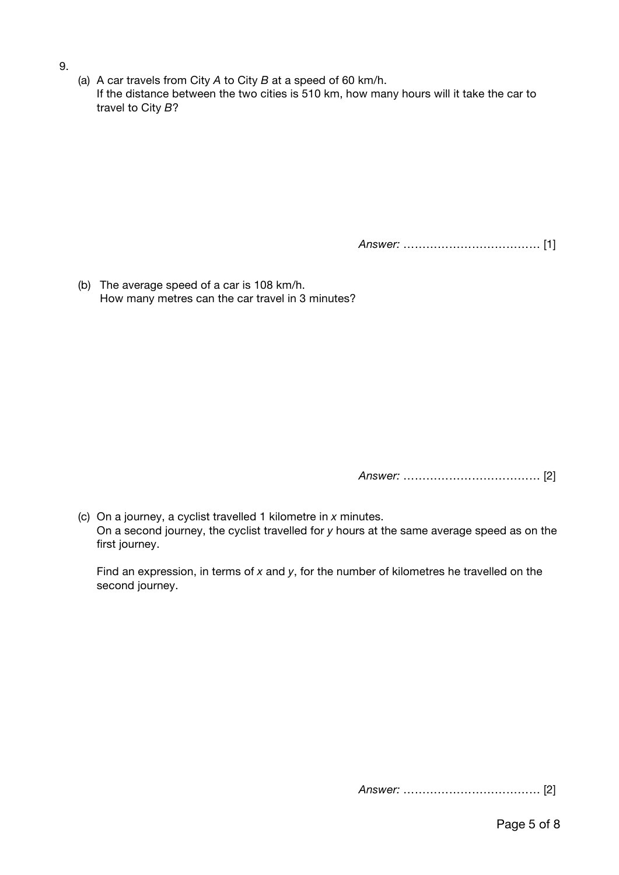- 9.
- (a) A car travels from City *A* to City *B* at a speed of 60 km/h. If the distance between the two cities is 510 km, how many hours will it take the car to travel to City *B*?

*Answer:* ……………………………… [1]

(b) The average speed of a car is 108 km/h. How many metres can the car travel in 3 minutes?

*Answer:* ……………………………… [2]

(c) On a journey, a cyclist travelled 1 kilometre in *x* minutes. On a second journey, the cyclist travelled for *y* hours at the same average speed as on the first journey.

Find an expression, in terms of *x* and *y*, for the number of kilometres he travelled on the second journey.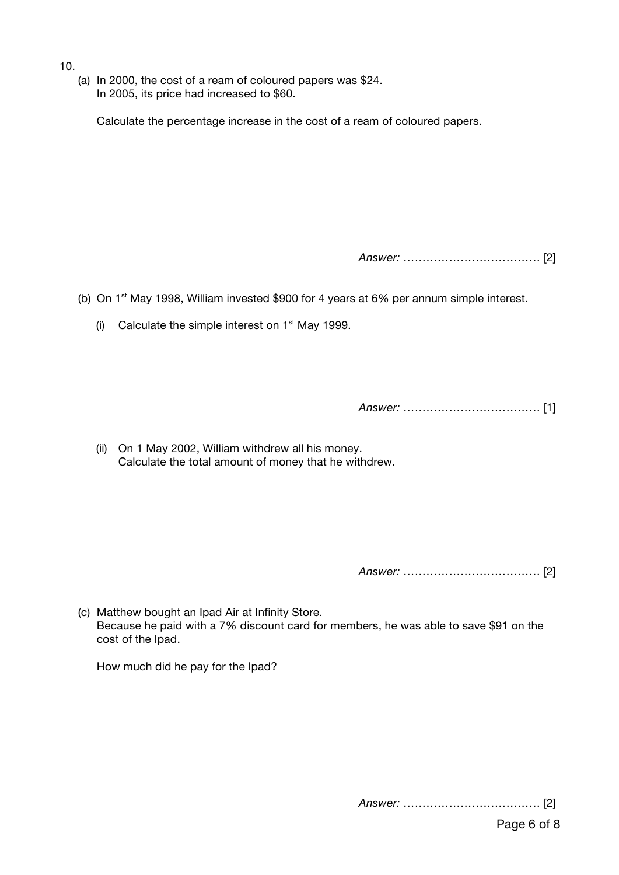- 10.
	- (a) In 2000, the cost of a ream of coloured papers was \$24. In 2005, its price had increased to \$60.

Calculate the percentage increase in the cost of a ream of coloured papers.

*Answer:* ……………………………… [2]

(b) On  $1<sup>st</sup>$  May 1998, William invested \$900 for 4 years at 6% per annum simple interest.

(i) Calculate the simple interest on  $1<sup>st</sup>$  May 1999.

*Answer:* ……………………………… [1]

(ii) On 1 May 2002, William withdrew all his money. Calculate the total amount of money that he withdrew.

*Answer:* ……………………………… [2]

(c) Matthew bought an Ipad Air at Infinity Store. Because he paid with a 7% discount card for members, he was able to save \$91 on the cost of the Ipad.

How much did he pay for the Ipad?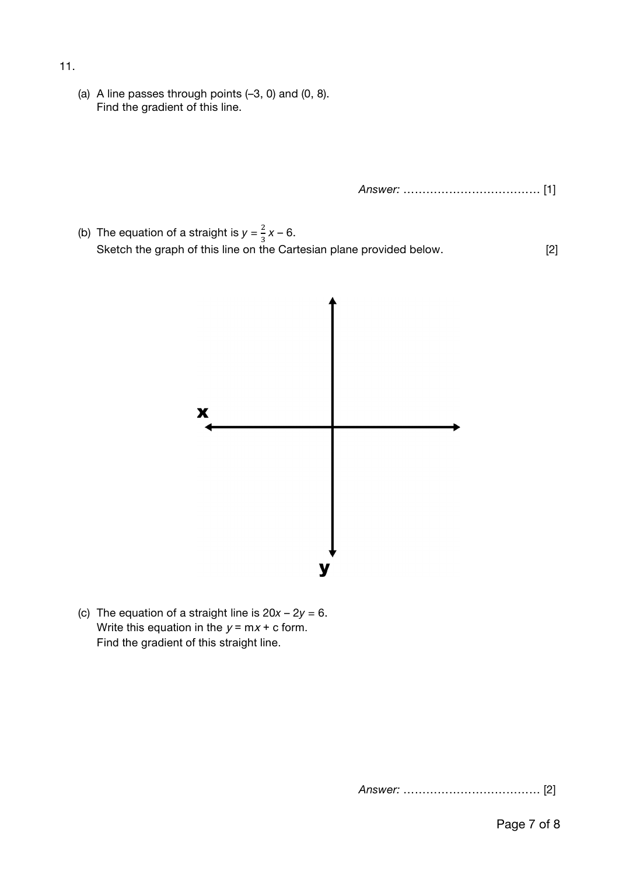- 11.
	- (a) A line passes through points (–3, 0) and (0, 8). Find the gradient of this line.

*Answer:* ……………………………… [1]

(b) The equation of a straight is  $y = \frac{2}{3}x - 6$ . Sketch the graph of this line on the Cartesian plane provided below. [2]



(c) The equation of a straight line is  $20x - 2y = 6$ . Write this equation in the  $y = mx + c$  form. Find the gradient of this straight line.